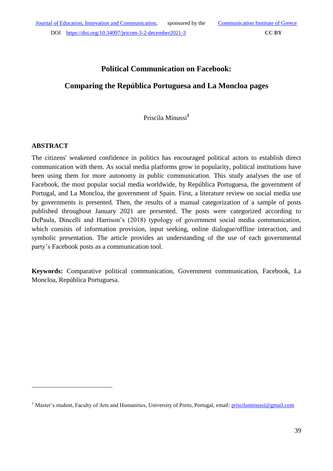# **Political Communication on Facebook:**

# **Comparing the República Portuguesa and La Moncloa pages**

Priscila Minussi**<sup>1</sup>**

### **ABSTRACT**

1

The citizens' weakened confidence in politics has encouraged political actors to establish direct communication with them. As social media platforms grow in popularity, political institutions have been using them for more autonomy in public communication. This study analyses the use of Facebook, the most popular social media worldwide, by República Portuguesa, the government of Portugal, and La Moncloa, the government of Spain. First, a literature review on social media use by governments is presented. Then, the results of a manual categorization of a sample of posts published throughout January 2021 are presented. The posts were categorized according to DePaula, Dincelli and Harrison's (2018) typology of government social media communication, which consists of information provision, input seeking, online dialogue/offline interaction, and symbolic presentation. The article provides an understanding of the use of each governmental party's Facebook posts as a communication tool.

**Keywords:** Comparative political communication, Government communication, Facebook, La Moncloa, República Portuguesa.

<sup>&</sup>lt;sup>1</sup> Master's student, Faculty of Arts and Humanities, University of Porto, Portugal, email: *priscilaminussi@gmail.com*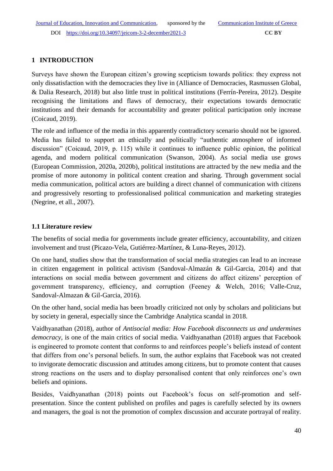## **1 INTRODUCTION**

Surveys have shown the European citizen's growing scepticism towards politics: they express not only dissatisfaction with the democracies they live in (Alliance of Democracies, Rasmussen Global, & Dalia Research, 2018) but also little trust in political institutions (Ferrín-Pereira, 2012). Despite recognising the limitations and flaws of democracy, their expectations towards democratic institutions and their demands for accountability and greater political participation only increase (Coicaud, 2019).

The role and influence of the media in this apparently contradictory scenario should not be ignored. Media has failed to support an ethically and politically "authentic atmosphere of informed discussion" (Coicaud, 2019, p. 115) while it continues to influence public opinion, the political agenda, and modern political communication (Swanson, 2004). As social media use grows (European Commission, 2020a, 2020b), political institutions are attracted by the new media and the promise of more autonomy in political content creation and sharing. Through government social media communication, political actors are building a direct channel of communication with citizens and progressively resorting to professionalised political communication and marketing strategies (Negrine, et all., 2007).

## **1.1 Literature review**

The benefits of social media for governments include greater efficiency, accountability, and citizen involvement and trust (Picazo-Vela, Gutiérrez-Martínez, & Luna-Reyes, 2012).

On one hand, studies show that the transformation of social media strategies can lead to an increase in citizen engagement in political activism (Sandoval-Almazán & Gil-Garcia, 2014) and that interactions on social media between government and citizens do affect citizens' perception of government transparency, efficiency, and corruption (Feeney & Welch, 2016; Valle-Cruz, Sandoval-Almazan & Gil-Garcia, 2016).

On the other hand, social media has been broadly criticized not only by scholars and politicians but by society in general, especially since the Cambridge Analytica scandal in 2018.

Vaidhyanathan (2018), author of *Antisocial media: How Facebook disconnects us and undermines democracy*, is one of the main critics of social media. Vaidhyanathan (2018) argues that Facebook is engineered to promote content that conforms to and reinforces people's beliefs instead of content that differs from one's personal beliefs. In sum, the author explains that Facebook was not created to invigorate democratic discussion and attitudes among citizens, but to promote content that causes strong reactions on the users and to display personalised content that only reinforces one's own beliefs and opinions.

Besides, Vaidhyanathan (2018) points out Facebook's focus on self-promotion and selfpresentation. Since the content published on profiles and pages is carefully selected by its owners and managers, the goal is not the promotion of complex discussion and accurate portrayal of reality.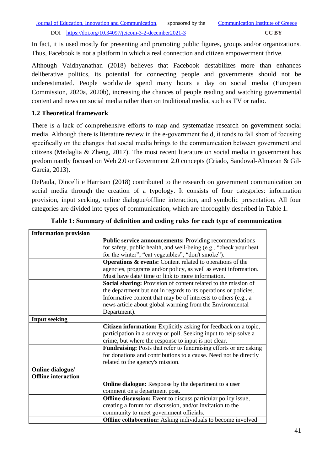In fact, it is used mostly for presenting and promoting public figures, groups and/or organizations. Thus, Facebook is not a platform in which a real connection and citizen empowerment thrive.

Although Vaidhyanathan (2018) believes that Facebook destabilizes more than enhances deliberative politics, its potential for connecting people and governments should not be underestimated. People worldwide spend many hours a day on social media (European Commission, 2020a, 2020b), increasing the chances of people reading and watching governmental content and news on social media rather than on traditional media, such as TV or radio.

### **1.2 Theoretical framework**

There is a lack of comprehensive efforts to map and systematize research on government social media. Although there is literature review in the e-government field, it tends to fall short of focusing specifically on the changes that social media brings to the communication between government and citizens (Medaglia & Zheng, 2017). The most recent literature on social media in government has predominantly focused on Web 2.0 or Government 2.0 concepts (Criado, Sandoval-Almazan & Gil-Garcia, 2013).

DePaula, Dincelli e Harrison (2018) contributed to the research on government communication on social media through the creation of a typology. It consists of four categories: information provision, input seeking, online dialogue/offline interaction, and symbolic presentation. All four categories are divided into types of communication, which are thoroughly described in Table 1.

| <b>Information provision</b> |                                                                      |
|------------------------------|----------------------------------------------------------------------|
|                              | <b>Public service announcements: Providing recommendations</b>       |
|                              | for safety, public health, and well-being (e.g., "check your heat    |
|                              | for the winter"; "eat vegetables"; "don't smoke").                   |
|                              | <b>Operations &amp; events:</b> Content related to operations of the |
|                              | agencies, programs and/or policy, as well as event information.      |
|                              | Must have date/ time or link to more information.                    |
|                              | Social sharing: Provision of content related to the mission of       |
|                              | the department but not in regards to its operations or policies.     |
|                              | Informative content that may be of interests to others (e.g., a      |
|                              | news article about global warming from the Environmental             |
|                              | Department).                                                         |
| <b>Input seeking</b>         |                                                                      |
|                              | Citizen information: Explicitly asking for feedback on a topic,      |
|                              | participation in a survey or poll. Seeking input to help solve a     |
|                              | crime, but where the response to input is not clear.                 |
|                              | Fundraising: Posts that refer to fundraising efforts or are asking   |
|                              | for donations and contributions to a cause. Need not be directly     |
|                              | related to the agency's mission.                                     |
| Online dialogue/             |                                                                      |
| <b>Offline</b> interaction   |                                                                      |
|                              | Online dialogue: Response by the department to a user                |
|                              | comment on a department post.                                        |
|                              | <b>Offline discussion:</b> Event to discuss particular policy issue, |
|                              | creating a forum for discussion, and/or invitation to the            |
|                              | community to meet government officials.                              |
|                              | <b>Offline collaboration:</b> Asking individuals to become involved  |

### **Table 1: Summary of definition and coding rules for each type of communication**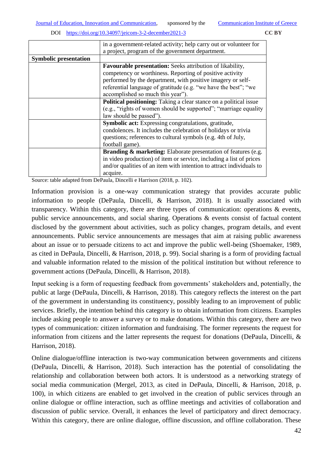|                              | in a government-related activity; help carry out or volunteer for         |
|------------------------------|---------------------------------------------------------------------------|
|                              | a project, program of the government department.                          |
| <b>Symbolic presentation</b> |                                                                           |
|                              | <b>Favourable presentation:</b> Seeks attribution of likability,          |
|                              | competency or worthiness. Reporting of positive activity                  |
|                              | performed by the department, with positive imagery or self-               |
|                              | referential language of gratitude (e.g. "we have the best"; "we           |
|                              | accomplished so much this year").                                         |
|                              | Political positioning: Taking a clear stance on a political issue         |
|                              | (e.g., "rights of women should be supported"; "marriage equality          |
|                              | law should be passed").                                                   |
|                              | Symbolic act: Expressing congratulations, gratitude,                      |
|                              | condolences. It includes the celebration of holidays or trivia            |
|                              | questions; references to cultural symbols (e.g. 4th of July,              |
|                              | football game).                                                           |
|                              | <b>Branding &amp; marketing:</b> Elaborate presentation of features (e.g. |
|                              | in video production) of item or service, including a list of prices       |
|                              | and/or qualities of an item with intention to attract individuals to      |
|                              | acquire.                                                                  |

Source: table adapted from DePaula, Dincelli e Harrison (2018, p. 102).

Information provision is a one-way communication strategy that provides accurate public information to people (DePaula, Dincelli, & Harrison, 2018). It is usually associated with transparency. Within this category, there are three types of communication: operations & events, public service announcements, and social sharing. Operations & events consist of factual content disclosed by the government about activities, such as policy changes, program details, and event announcements. Public service announcements are messages that aim at raising public awareness about an issue or to persuade citizens to act and improve the public well-being (Shoemaker, 1989, as cited in DePaula, Dincelli, & Harrison, 2018, p. 99). Social sharing is a form of providing factual and valuable information related to the mission of the political institution but without reference to government actions (DePaula, Dincelli, & Harrison, 2018).

Input seeking is a form of requesting feedback from governments' stakeholders and, potentially, the public at large (DePaula, Dincelli, & Harrison, 2018). This category reflects the interest on the part of the government in understanding its constituency, possibly leading to an improvement of public services. Briefly, the intention behind this category is to obtain information from citizens. Examples include asking people to answer a survey or to make donations. Within this category, there are two types of communication: citizen information and fundraising. The former represents the request for information from citizens and the latter represents the request for donations (DePaula, Dincelli, & Harrison, 2018).

Online dialogue/offline interaction is two-way communication between governments and citizens (DePaula, Dincelli, & Harrison, 2018). Such interaction has the potential of consolidating the relationship and collaboration between both actors. It is understood as a networking strategy of social media communication (Mergel, 2013, as cited in DePaula, Dincelli, & Harrison, 2018, p. 100), in which citizens are enabled to get involved in the creation of public services through an online dialogue or offline interaction, such as offline meetings and activities of collaboration and discussion of public service. Overall, it enhances the level of participatory and direct democracy. Within this category, there are online dialogue, offline discussion, and offline collaboration. These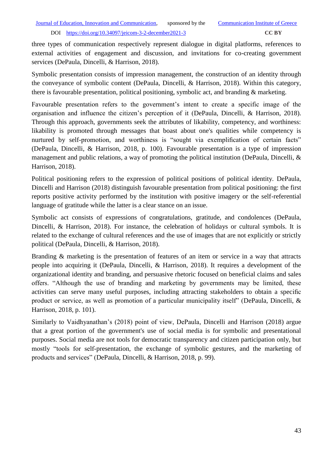three types of communication respectively represent dialogue in digital platforms, references to external activities of engagement and discussion, and invitations for co-creating government services (DePaula, Dincelli, & Harrison, 2018).

Symbolic presentation consists of impression management, the construction of an identity through the conveyance of symbolic content (DePaula, Dincelli, & Harrison, 2018). Within this category, there is favourable presentation, political positioning, symbolic act, and branding & marketing.

Favourable presentation refers to the government's intent to create a specific image of the organisation and influence the citizen's perception of it (DePaula, Dincelli, & Harrison, 2018). Through this approach, governments seek the attributes of likability, competency, and worthiness: likability is promoted through messages that boast about one's qualities while competency is nurtured by self-promotion, and worthiness is "sought via exemplification of certain facts" (DePaula, Dincelli, & Harrison, 2018, p. 100). Favourable presentation is a type of impression management and public relations, a way of promoting the political institution (DePaula, Dincelli, & Harrison, 2018).

Political positioning refers to the expression of political positions of political identity. DePaula, Dincelli and Harrison (2018) distinguish favourable presentation from political positioning: the first reports positive activity performed by the institution with positive imagery or the self-referential language of gratitude while the latter is a clear stance on an issue.

Symbolic act consists of expressions of congratulations, gratitude, and condolences (DePaula, Dincelli, & Harrison, 2018). For instance, the celebration of holidays or cultural symbols. It is related to the exchange of cultural references and the use of images that are not explicitly or strictly political (DePaula, Dincelli, & Harrison, 2018).

Branding & marketing is the presentation of features of an item or service in a way that attracts people into acquiring it (DePaula, Dincelli, & Harrison, 2018). It requires a development of the organizational identity and branding, and persuasive rhetoric focused on beneficial claims and sales offers. "Although the use of branding and marketing by governments may be limited, these activities can serve many useful purposes, including attracting stakeholders to obtain a specific product or service, as well as promotion of a particular municipality itself" (DePaula, Dincelli, & Harrison, 2018, p. 101).

Similarly to Vaidhyanathan's (2018) point of view, DePaula, Dincelli and Harrison (2018) argue that a great portion of the government's use of social media is for symbolic and presentational purposes. Social media are not tools for democratic transparency and citizen participation only, but mostly "tools for self-presentation, the exchange of symbolic gestures, and the marketing of products and services" (DePaula, Dincelli, & Harrison, 2018, p. 99).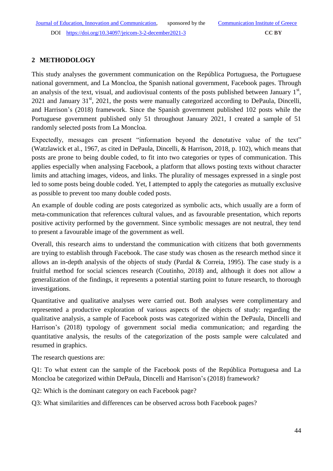## **2 METHODOLOGY**

This study analyses the government communication on the República Portuguesa, the Portuguese national government, and La Moncloa, the Spanish national government, Facebook pages. Through an analysis of the text, visual, and audiovisual contents of the posts published between January  $1<sup>st</sup>$ ,  $2021$  and January  $31<sup>st</sup>$ ,  $2021$ , the posts were manually categorized according to DePaula, Dincelli, and Harrison's (2018) framework. Since the Spanish government published 102 posts while the Portuguese government published only 51 throughout January 2021, I created a sample of 51 randomly selected posts from La Moncloa.

Expectedly, messages can present "information beyond the denotative value of the text" (Watzlawick et al., 1967, as cited in DePaula, Dincelli, & Harrison, 2018, p. 102), which means that posts are prone to being double coded, to fit into two categories or types of communication. This applies especially when analysing Facebook, a platform that allows posting texts without character limits and attaching images, videos, and links. The plurality of messages expressed in a single post led to some posts being double coded. Yet, I attempted to apply the categories as mutually exclusive as possible to prevent too many double coded posts.

An example of double coding are posts categorized as symbolic acts, which usually are a form of meta-communication that references cultural values, and as favourable presentation, which reports positive activity performed by the government. Since symbolic messages are not neutral, they tend to present a favourable image of the government as well.

Overall, this research aims to understand the communication with citizens that both governments are trying to establish through Facebook. The case study was chosen as the research method since it allows an in-depth analysis of the objects of study (Pardal & Correia, 1995). The case study is a fruitful method for social sciences research (Coutinho, 2018) and, although it does not allow a generalization of the findings, it represents a potential starting point to future research, to thorough investigations.

Quantitative and qualitative analyses were carried out. Both analyses were complimentary and represented a productive exploration of various aspects of the objects of study: regarding the qualitative analysis, a sample of Facebook posts was categorized within the DePaula, Dincelli and Harrison's (2018) typology of government social media communication; and regarding the quantitative analysis, the results of the categorization of the posts sample were calculated and resumed in graphics.

The research questions are:

Q1: To what extent can the sample of the Facebook posts of the República Portuguesa and La Moncloa be categorized within DePaula, Dincelli and Harrison's (2018) framework?

Q2: Which is the dominant category on each Facebook page?

Q3: What similarities and differences can be observed across both Facebook pages?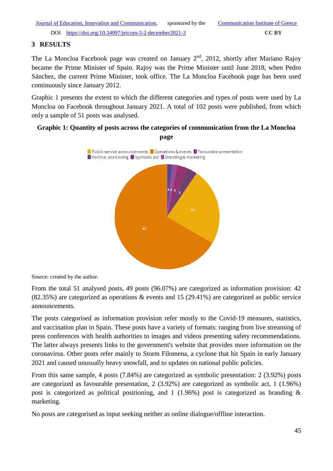## **3 RESULTS**

The La Moncloa Facebook page was created on January  $2<sup>nd</sup>$ , 2012, shortly after Mariano Rajoy became the Prime Minister of Spain. Rajoy was the Prime Minister until June 2018, when Pedro Sánchez, the current Prime Minister, took office. The La Moncloa Facebook page has been used continuously since January 2012.

Graphic 1 presents the extent to which the different categories and types of posts were used by La Moncloa on Facebook throughout January 2021. A total of 102 posts were published, from which only a sample of 51 posts was analysed.

## **Graphic 1: Quantity of posts across the categories of communication from the La Moncloa page**



Source: created by the author.

From the total 51 analysed posts, 49 posts (96.07%) are categorized as information provision: 42 (82.35%) are categorized as operations & events and 15 (29.41%) are categorized as public service announcements.

The posts categorised as information provision refer mostly to the Covid-19 measures, statistics, and vaccination plan in Spain. These posts have a variety of formats: ranging from live streaming of press conferences with health authorities to images and videos presenting safety recommendations. The latter always presents links to the government's website that provides more information on the coronavirus. Other posts refer mainly to Storm Filomena, a cyclone that hit Spain in early January 2021 and caused unusually heavy snowfall, and to updates on national public policies.

From this same sample, 4 posts (7.84%) are categorized as symbolic presentation: 2 (3.92%) posts are categorized as favourable presentation, 2 (3.92%) are categorized as symbolic act, 1 (1.96%) post is categorized as political positioning, and  $1(1.96%)$  post is categorized as branding & marketing.

No posts are categorised as input seeking neither as online dialogue/offline interaction.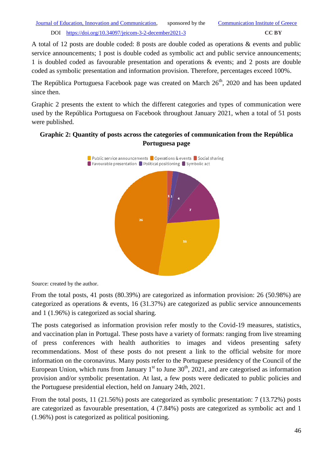A total of 12 posts are double coded: 8 posts are double coded as operations & events and public service announcements; 1 post is double coded as symbolic act and public service announcements; 1 is doubled coded as favourable presentation and operations & events; and 2 posts are double coded as symbolic presentation and information provision. Therefore, percentages exceed 100%.

The República Portuguesa Facebook page was created on March  $26<sup>th</sup>$ , 2020 and has been updated since then.

Graphic 2 presents the extent to which the different categories and types of communication were used by the República Portuguesa on Facebook throughout January 2021, when a total of 51 posts were published.

## **Graphic 2: Quantity of posts across the categories of communication from the República Portuguesa page**



Source: created by the author.

From the total posts, 41 posts (80.39%) are categorized as information provision: 26 (50.98%) are categorized as operations & events, 16 (31.37%) are categorized as public service announcements and 1 (1.96%) is categorized as social sharing.

The posts categorised as information provision refer mostly to the Covid-19 measures, statistics, and vaccination plan in Portugal. These posts have a variety of formats: ranging from live streaming of press conferences with health authorities to images and videos presenting safety recommendations. Most of these posts do not present a link to the official website for more information on the coronavirus. Many posts refer to the Portuguese presidency of the Council of the European Union, which runs from January  $1<sup>st</sup>$  to June  $30<sup>th</sup>$ , 2021, and are categorised as information provision and/or symbolic presentation. At last, a few posts were dedicated to public policies and the Portuguese presidential election, held on January 24th, 2021.

From the total posts, 11 (21.56%) posts are categorized as symbolic presentation: 7 (13.72%) posts are categorized as favourable presentation, 4 (7.84%) posts are categorized as symbolic act and 1 (1.96%) post is categorized as political positioning.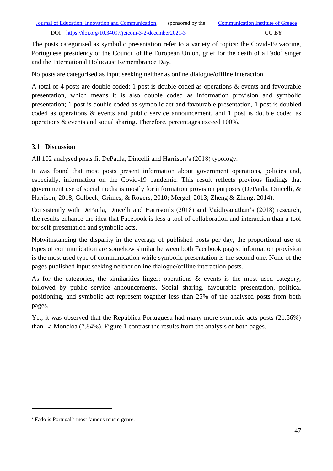The posts categorised as symbolic presentation refer to a variety of topics: the Covid-19 vaccine, Portuguese presidency of the Council of the European Union, grief for the death of a Fado<sup>2</sup> singer and the International Holocaust Remembrance Day.

No posts are categorised as input seeking neither as online dialogue/offline interaction.

A total of 4 posts are double coded: 1 post is double coded as operations & events and favourable presentation, which means it is also double coded as information provision and symbolic presentation; 1 post is double coded as symbolic act and favourable presentation, 1 post is doubled coded as operations & events and public service announcement, and 1 post is double coded as operations & events and social sharing. Therefore, percentages exceed 100%.

## **3.1 Discussion**

All 102 analysed posts fit DePaula, Dincelli and Harrison's (2018) typology.

It was found that most posts present information about government operations, policies and, especially, information on the Covid-19 pandemic. This result reflects previous findings that government use of social media is mostly for information provision purposes (DePaula, Dincelli, & Harrison, 2018; Golbeck, Grimes, & Rogers, 2010; Mergel, 2013; Zheng & Zheng, 2014).

Consistently with DePaula, Dincelli and Harrison's (2018) and Vaidhyanathan's (2018) research, the results enhance the idea that Facebook is less a tool of collaboration and interaction than a tool for self-presentation and symbolic acts.

Notwithstanding the disparity in the average of published posts per day, the proportional use of types of communication are somehow similar between both Facebook pages: information provision is the most used type of communication while symbolic presentation is the second one. None of the pages published input seeking neither online dialogue/offline interaction posts.

As for the categories, the similarities linger: operations  $\&$  events is the most used category, followed by public service announcements. Social sharing, favourable presentation, political positioning, and symbolic act represent together less than 25% of the analysed posts from both pages.

Yet, it was observed that the República Portuguesa had many more symbolic acts posts (21.56%) than La Moncloa (7.84%). Figure 1 contrast the results from the analysis of both pages.

1

<sup>&</sup>lt;sup>2</sup> Fado is Portugal's most famous music genre.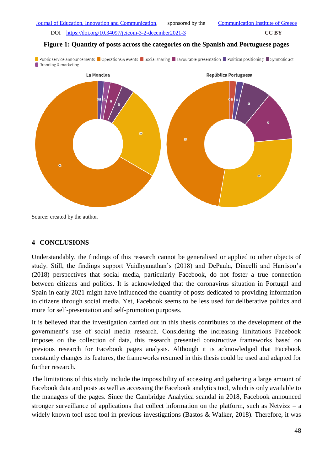### **Figure 1: Quantity of posts across the categories on the Spanish and Portuguese pages**

Dependic service announcements Operations & events Oscial sharing C Favourable presentation C Political positioning Osymbolic act Branding & marketing



Source: created by the author.

### **4 CONCLUSIONS**

Understandably, the findings of this research cannot be generalised or applied to other objects of study. Still, the findings support Vaidhyanathan's (2018) and DePaula, Dincelli and Harrison's (2018) perspectives that social media, particularly Facebook, do not foster a true connection between citizens and politics. It is acknowledged that the coronavirus situation in Portugal and Spain in early 2021 might have influenced the quantity of posts dedicated to providing information to citizens through social media. Yet, Facebook seems to be less used for deliberative politics and more for self-presentation and self-promotion purposes.

It is believed that the investigation carried out in this thesis contributes to the development of the government's use of social media research. Considering the increasing limitations Facebook imposes on the collection of data, this research presented constructive frameworks based on previous research for Facebook pages analysis. Although it is acknowledged that Facebook constantly changes its features, the frameworks resumed in this thesis could be used and adapted for further research.

The limitations of this study include the impossibility of accessing and gathering a large amount of Facebook data and posts as well as accessing the Facebook analytics tool, which is only available to the managers of the pages. Since the Cambridge Analytica scandal in 2018, Facebook announced stronger surveillance of applications that collect information on the platform, such as Netvizz – a widely known tool used tool in previous investigations (Bastos & Walker, 2018). Therefore, it was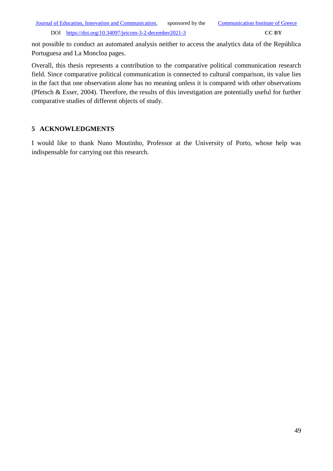not possible to conduct an automated analysis neither to access the analytics data of the República Portuguesa and La Moncloa pages.

Overall, this thesis represents a contribution to the comparative political communication research field. Since comparative political communication is connected to cultural comparison, its value lies in the fact that one observation alone has no meaning unless it is compared with other observations (Pfetsch & Esser, 2004). Therefore, the results of this investigation are potentially useful for further comparative studies of different objects of study.

## **5 ACKNOWLEDGMENTS**

I would like to thank Nuno Moutinho, Professor at the University of Porto, whose help was indispensable for carrying out this research.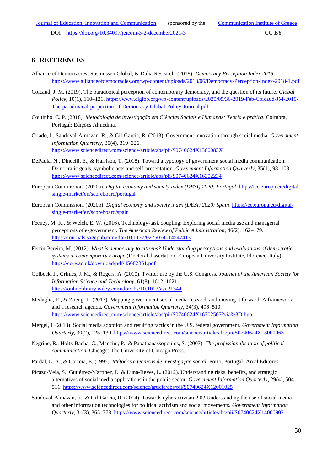### **6 REFERENCES**

- Alliance of Democracies; Rasmussen Global; & Dalia Research. (2018). *Democracy Perception Index 2018*. <https://www.allianceofdemocracies.org/wp-content/uploads/2018/06/Democracy-Perception-Index-2018-1.pdf>
- Coicaud, J. M. (2019). The paradoxical perception of contemporary democracy, and the question of its future. *Global Policy*, 10(1), 110–121. [https://www.ciglob.org/wp-content/uploads/2020/05/36-2019-Feb-Coicaud-JM-2019-](https://www.ciglob.org/wp-content/uploads/2020/05/36-2019-Feb-Coicaud-JM-2019-The-paradoxical-perpcetion-of-Democracy-Global-Policy-Journal.pdf) [The-paradoxical-perpcetion-of-Democracy-Global-Policy-Journal.pdf](https://www.ciglob.org/wp-content/uploads/2020/05/36-2019-Feb-Coicaud-JM-2019-The-paradoxical-perpcetion-of-Democracy-Global-Policy-Journal.pdf)
- Coutinho, C. P. (2018). *Metodologia de investigação em Ciências Sociais e Humanas: Teoria e prática*. Coimbra, Portugal: Edições Almedina.
- Criado, I., Sandoval-Almazan, R., & Gil-Garcia, R. (2013). Government innovation through social media. *Government Information Quarterly*, 30(4), 319–326. <https://www.sciencedirect.com/science/article/abs/pii/S0740624X1300083X>
- DePaula, N., Dincelli, E., & Harrison, T. (2018). Toward a typology of government social media communication: Democratic goals, symbolic acts and self-presentation. *Government Information Quarterly*, 35(1), 98–108. <https://www.sciencedirect.com/science/article/abs/pii/S0740624X16302234>
- European Commission. (2020a). *Digital economy and society index (DESI) 2020: Portugal*. [https://ec.europa.eu/digital](https://ec.europa.eu/digital-single-market/en/scoreboard/portugal)[single-market/en/scoreboard/portugal](https://ec.europa.eu/digital-single-market/en/scoreboard/portugal)
- European Commission. (2020b). *Digital economy and society index (DESI) 2020: Spain*. [https://ec.europa.eu/digital](https://ec.europa.eu/digital-single-market/en/scoreboard/spain)[single-market/en/scoreboard/spain](https://ec.europa.eu/digital-single-market/en/scoreboard/spain)
- Feeney, M. K., & Welch, E. W. (2016). Technology-task coupling: Exploring social media use and managerial perceptions of e-government. *The American Review of Public Administration*, 46(2), 162–179. <https://journals.sagepub.com/doi/10.1177/0275074014547413>
- Ferrín-Pereira, M. (2012). *What is democracy to citizens? Understanding perceptions and evaluations of democratic systems in contemporary Europe* (Doctoral dissertation, European University Institute, Florence, Italy). <https://core.ac.uk/download/pdf/45682351.pdf>
- Golbeck, J., Grimes, J. M., & Rogers, A. (2010). Twitter use by the U.S. Congress. *Journal of the American Society for Information Science and Technology*, 61(8), 1612–1621. <https://onlinelibrary.wiley.com/doi/abs/10.1002/asi.21344>
- Medaglia, R., & Zheng, L. (2017). Mapping government social media research and moving it forward: A framework and a research agenda. *Government Information Quarterly*, 34(3), 496–510. <https://www.sciencedirect.com/science/article/abs/pii/S0740624X16302507?via%3Dihub>
- Mergel, I. (2013). Social media adoption and resulting tactics in the U.S. federal government. *Government Information Quarterly*, 30(2), 123–130.<https://www.sciencedirect.com/science/article/abs/pii/S0740624X13000063>
- Negrine, R., Holtz-Bacha, C., Mancini, P., & Papathanassopoulos, S. (2007). *The professionalisation of political communication*. Chicago: The University of Chicago Press.
- Pardal, L. A., & Correia, E. (1995). *Métodos e técnicas de investigação social*. Porto, Portugal: Areal Editores.
- Picazo-Vela, S., Gutiérrez-Martínez, I., & Luna-Reyes, L. (2012). Understanding risks, benefits, and strategic alternatives of social media applications in the public sector. *Government Information Quarterly*, 29(4), 504– 511[. https://www.sciencedirect.com/science/article/abs/pii/S0740624X12001025](https://www.sciencedirect.com/science/article/abs/pii/S0740624X12001025)
- Sandoval-Almazán, R., & Gil-Garcia, R. (2014). Towards cyberactivism 2.0? Understanding the use of social media and other information technologies for political activism and social movements. *Government Information Quarterly*, 31(3), 365–378.<https://www.sciencedirect.com/science/article/abs/pii/S0740624X14000902>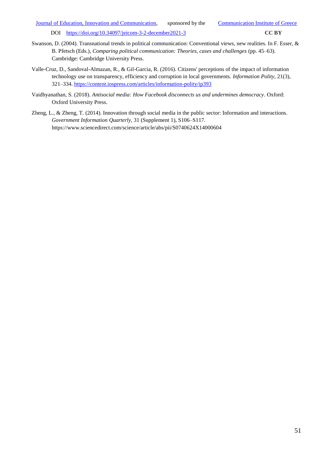- Swanson, D. (2004). Transnational trends in political communication: Conventional views, new realities. In F. Esser, & B. Pfetsch (Eds.), *Comparing political communication: Theories, cases and challenges* (pp. 45–63). Cambridge: Cambridge University Press.
- Valle-Cruz, D., Sandoval-Almazan, R., & Gil-Garcia, R. (2016). Citizens' perceptions of the impact of information technology use on transparency, efficiency and corruption in local governments. *Information Polity*, 21(3), 321–334[. https://content.iospress.com/articles/information-polity/ip393](https://content.iospress.com/articles/information-polity/ip393)
- Vaidhyanathan, S. (2018). *Antisocial media: How Facebook disconnects us and undermines democracy*. Oxford: Oxford University Press.
- Zheng, L., & Zheng, T. (2014). Innovation through social media in the public sector: Information and interactions. *Government Information Quarterly*, 31 (Supplement 1), S106–S117. https://www.sciencedirect.com/science/article/abs/pii/S0740624X14000604